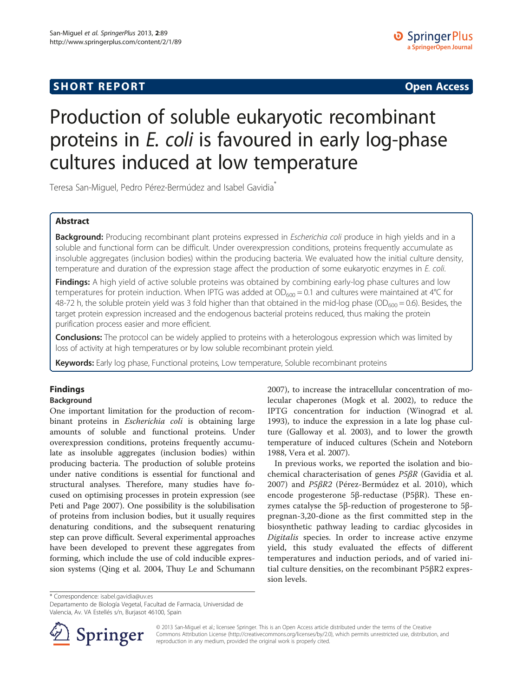# **SHORT REPORT SHORT CONSUMING THE CONSUMING THE CONSUMING THE CONSUMING THE CONSUMING THE CONSUMING THE CONSUMING THE CONSUMING THE CONSUMING THE CONSUMING THE CONSUMING THE CONSUMING THE CONSUMING THE CONSUMING THE CO**

# Production of soluble eukaryotic recombinant proteins in E. coli is favoured in early log-phase cultures induced at low temperature

Teresa San-Miguel, Pedro Pérez-Bermúdez and Isabel Gavidia\*

## Abstract

Background: Producing recombinant plant proteins expressed in Escherichia coli produce in high yields and in a soluble and functional form can be difficult. Under overexpression conditions, proteins frequently accumulate as insoluble aggregates (inclusion bodies) within the producing bacteria. We evaluated how the initial culture density, temperature and duration of the expression stage affect the production of some eukaryotic enzymes in E. coli.

Findings: A high yield of active soluble proteins was obtained by combining early-log phase cultures and low temperatures for protein induction. When IPTG was added at  $OD_{600} = 0.1$  and cultures were maintained at 4°C for 48-72 h, the soluble protein yield was 3 fold higher than that obtained in the mid-log phase (OD<sub>600</sub> = 0.6). Besides, the target protein expression increased and the endogenous bacterial proteins reduced, thus making the protein purification process easier and more efficient.

Conclusions: The protocol can be widely applied to proteins with a heterologous expression which was limited by loss of activity at high temperatures or by low soluble recombinant protein yield.

Keywords: Early log phase, Functional proteins, Low temperature, Soluble recombinant proteins

# Findings

# Background

One important limitation for the production of recombinant proteins in Escherichia coli is obtaining large amounts of soluble and functional proteins. Under overexpression conditions, proteins frequently accumulate as insoluble aggregates (inclusion bodies) within producing bacteria. The production of soluble proteins under native conditions is essential for functional and structural analyses. Therefore, many studies have focused on optimising processes in protein expression (see Peti and Page [2007](#page-3-0)). One possibility is the solubilisation of proteins from inclusion bodies, but it usually requires denaturing conditions, and the subsequent renaturing step can prove difficult. Several experimental approaches have been developed to prevent these aggregates from forming, which include the use of cold inducible expression systems (Qing et al. [2004,](#page-3-0) Thuy Le and Schumann

[2007](#page-3-0)), to increase the intracellular concentration of molecular chaperones (Mogk et al. [2002\)](#page-3-0), to reduce the IPTG concentration for induction (Winograd et al. [1993](#page-3-0)), to induce the expression in a late log phase culture (Galloway et al. [2003](#page-3-0)), and to lower the growth temperature of induced cultures (Schein and Noteborn [1988](#page-3-0), Vera et al. [2007](#page-3-0)).

In previous works, we reported the isolation and biochemical characterisation of genes P5βR (Gavidia et al. [2007\)](#page-3-0) and P5βR2 (Pérez-Bermúdez et al. [2010](#page-3-0)), which encode progesterone 5β-reductase (P5βR). These enzymes catalyse the 5β-reduction of progesterone to 5βpregnan-3,20-dione as the first committed step in the biosynthetic pathway leading to cardiac glycosides in Digitalis species. In order to increase active enzyme yield, this study evaluated the effects of different temperatures and induction periods, and of varied initial culture densities, on the recombinant P5βR2 expression levels.

\* Correspondence: [isabel.gavidia@uv.es](mailto:isabel.gavidia@uv.es)

Departamento de Biología Vegetal, Facultad de Farmacia, Universidad de Valencia, Av. VA Estellés s/n, Burjasot 46100, Spain



© 2013 San-Miguel et al.; licensee Springer. This is an Open Access article distributed under the terms of the Creative Commons Attribution License (<http://creativecommons.org/licenses/by/2.0>), which permits unrestricted use, distribution, and reproduction in any medium, provided the original work is properly cited.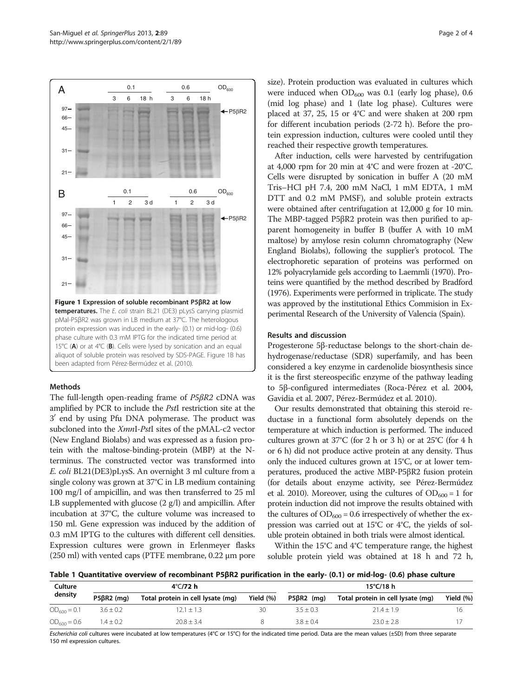<span id="page-1-0"></span>

#### Methods

The full-length open-reading frame of P5βR2 cDNA was amplified by PCR to include the PstI restriction site at the 3' end by using Pfu DNA polymerase. The product was subcloned into the XmnI-PstI sites of the pMAL-c2 vector (New England Biolabs) and was expressed as a fusion protein with the maltose-binding-protein (MBP) at the Nterminus. The constructed vector was transformed into E. coli BL21(DE3)pLysS. An overnight 3 ml culture from a single colony was grown at 37°C in LB medium containing 100 mg/l of ampicillin, and was then transferred to 25 ml LB supplemented with glucose (2 g/l) and ampicillin. After incubation at 37°C, the culture volume was increased to 150 ml. Gene expression was induced by the addition of 0.3 mM IPTG to the cultures with different cell densities. Expression cultures were grown in Erlenmeyer flasks (250 ml) with vented caps (PTFE membrane, 0.22 μm pore size). Protein production was evaluated in cultures which were induced when  $OD_{600}$  was 0.1 (early log phase), 0.6 (mid log phase) and 1 (late log phase). Cultures were placed at 37, 25, 15 or 4°C and were shaken at 200 rpm for different incubation periods (2-72 h). Before the protein expression induction, cultures were cooled until they reached their respective growth temperatures.

After induction, cells were harvested by centrifugation at 4,000 rpm for 20 min at 4°C and were frozen at -20°C. Cells were disrupted by sonication in buffer A (20 mM Tris–HCl pH 7.4, 200 mM NaCl, 1 mM EDTA, 1 mM DTT and 0.2 mM PMSF), and soluble protein extracts were obtained after centrifugation at 12,000 g for 10 min. The MBP-tagged P5βR2 protein was then purified to apparent homogeneity in buffer B (buffer A with 10 mM maltose) by amylose resin column chromatography (New England Biolabs), following the supplier's protocol. The electrophoretic separation of proteins was performed on 12% polyacrylamide gels according to Laemmli ([1970\)](#page-3-0). Proteins were quantified by the method described by Bradford ([1976\)](#page-3-0). Experiments were performed in triplicate. The study was approved by the institutional Ethics Commision in Experimental Research of the University of Valencia (Spain).

### Results and discussion

Progesterone 5β-reductase belongs to the short-chain dehydrogenase/reductase (SDR) superfamily, and has been considered a key enzyme in cardenolide biosynthesis since it is the first stereospecific enzyme of the pathway leading to 5β-configured intermediates (Roca-Pérez et al. [2004](#page-3-0), Gavidia et al. [2007](#page-3-0), Pérez-Bermúdez et al. [2010\)](#page-3-0).

Our results demonstrated that obtaining this steroid reductase in a functional form absolutely depends on the temperature at which induction is performed. The induced cultures grown at 37°C (for 2 h or 3 h) or at 25°C (for 4 h or 6 h) did not produce active protein at any density. Thus only the induced cultures grown at 15°C, or at lower temperatures, produced the active MBP-P5βR2 fusion protein (for details about enzyme activity, see Pérez-Bermúdez et al. [2010\)](#page-3-0). Moreover, using the cultures of  $OD_{600} = 1$  for protein induction did not improve the results obtained with the cultures of  $OD_{600} = 0.6$  irrespectively of whether the expression was carried out at 15°C or 4°C, the yields of soluble protein obtained in both trials were almost identical.

Within the 15°C and 4°C temperature range, the highest soluble protein yield was obtained at 18 h and 72 h,

Table 1 Quantitative overview of recombinant P5βR2 purification in the early- (0.1) or mid-log- (0.6) phase culture

| Culture<br>density | $4^{\circ}$ C/72 h |                                   |              | 15 $°C/18$ h      |                                   |           |
|--------------------|--------------------|-----------------------------------|--------------|-------------------|-----------------------------------|-----------|
|                    | P5BR2 (ma)         | Total protein in cell lysate (mq) | Yield $(\%)$ | $P5\beta R2$ (mg) | Total protein in cell lysate (mg) | Yield (%) |
| $OD_{600} = 0.1$   | $3.6 + 0.2$        | $12.1 + 1.3$                      | 30           | $3.5 + 0.3$       | $71.4 + 1.9$                      | 16        |
| $OD_{600} = 0.6$   | $1.4 \pm 0.2$      | $20.8 + 3.4$                      |              | $3.8 + 0.4$       | $23.0 \pm 2.8$                    |           |

Escherichia coli cultures were incubated at low temperatures (4°C or 15°C) for the indicated time period. Data are the mean values (±SD) from three separate 150 ml expression cultures.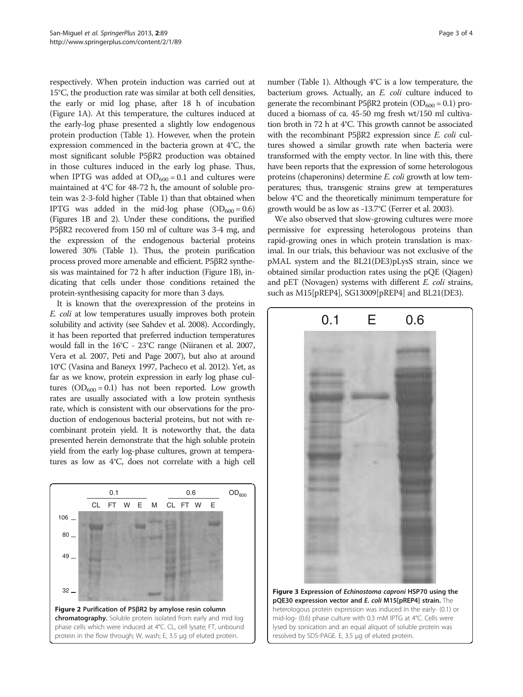<span id="page-2-0"></span>respectively. When protein induction was carried out at 15°C, the production rate was similar at both cell densities, the early or mid log phase, after 18 h of incubation (Figure [1](#page-1-0)A). At this temperature, the cultures induced at the early-log phase presented a slightly low endogenous protein production (Table [1](#page-1-0)). However, when the protein expression commenced in the bacteria grown at 4°C, the most significant soluble P5βR2 production was obtained in those cultures induced in the early log phase. Thus, when IPTG was added at  $OD_{600} = 0.1$  and cultures were maintained at 4°C for 48-72 h, the amount of soluble protein was 2-3-fold higher (Table [1\)](#page-1-0) than that obtained when IPTG was added in the mid-log phase  $(OD_{600} = 0.6)$ (Figures [1](#page-1-0)B and 2). Under these conditions, the purified P5βR2 recovered from 150 ml of culture was 3-4 mg, and the expression of the endogenous bacterial proteins lowered 30% (Table [1\)](#page-1-0). Thus, the protein purification process proved more amenable and efficient. P5βR2 synthesis was maintained for 72 h after induction (Figure [1B](#page-1-0)), indicating that cells under those conditions retained the protein-synthesising capacity for more than 3 days.

It is known that the overexpression of the proteins in E. coli at low temperatures usually improves both protein solubility and activity (see Sahdev et al. [2008](#page-3-0)). Accordingly, it has been reported that preferred induction temperatures would fall in the 16°C - 23°C range (Niiranen et al. [2007](#page-3-0), Vera et al. [2007,](#page-3-0) Peti and Page [2007](#page-3-0)), but also at around 10°C (Vasina and Baneyx [1997,](#page-3-0) Pacheco et al. [2012\)](#page-3-0). Yet, as far as we know, protein expression in early log phase cultures  $(OD_{600} = 0.1)$  has not been reported. Low growth rates are usually associated with a low protein synthesis rate, which is consistent with our observations for the production of endogenous bacterial proteins, but not with recombinant protein yield. It is noteworthy that, the data presented herein demonstrate that the high soluble protein yield from the early log-phase cultures, grown at temperatures as low as 4°C, does not correlate with a high cell



number (Table [1\)](#page-1-0). Although 4°C is a low temperature, the bacterium grows. Actually, an E. coli culture induced to generate the recombinant P5 $\beta$ R2 protein (OD<sub>600</sub> = 0.1) produced a biomass of ca. 45-50 mg fresh wt/150 ml cultivation broth in 72 h at 4°C. This growth cannot be associated with the recombinant P5 $\beta$ R2 expression since *E. coli* cultures showed a similar growth rate when bacteria were transformed with the empty vector. In line with this, there have been reports that the expression of some heterologous proteins (chaperonins) determine E. coli growth at low temperatures; thus, transgenic strains grew at temperatures below 4°C and the theoretically minimum temperature for growth would be as low as -13.7°C (Ferrer et al. [2003\)](#page-3-0).

We also observed that slow-growing cultures were more permissive for expressing heterologous proteins than rapid-growing ones in which protein translation is maximal. In our trials, this behaviour was not exclusive of the pMAL system and the BL21(DE3)pLysS strain, since we obtained similar production rates using the pQE (Qiagen) and pET (Novagen) systems with different E. coli strains, such as M15[pREP4], SG13009[pREP4] and BL21(DE3).



Figure 3 Expression of Echinostoma caproni HSP70 using the pQE30 expression vector and E. coli M15[pREP4] strain. The heterologous protein expression was induced in the early- (0.1) or mid-log- (0.6) phase culture with 0.3 mM IPTG at 4°C. Cells were lysed by sonication and an equal aliquot of soluble protein was resolved by SDS-PAGE. E, 3.5 μg of eluted protein.